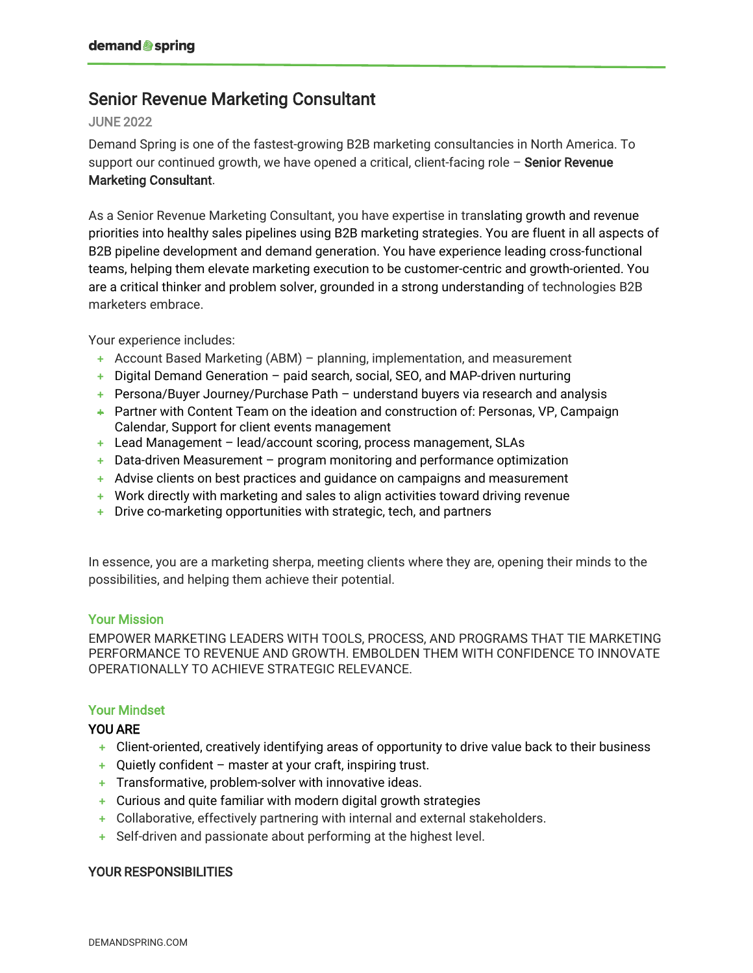# Senior Revenue Marketing Consultant

#### JUNE 2022

Demand Spring is one of the fastest-growing B2B marketing consultancies in North America. To support our continued growth, we have opened a critical, client-facing role  $-$  Senior Revenue Marketing Consultant.

As a Senior Revenue Marketing Consultant, you have expertise in translating growth and revenue priorities into healthy sales pipelines using B2B marketing strategies. You are fluent in all aspects of B2B pipeline development and demand generation. You have experience leading cross-functional teams, helping them elevate marketing execution to be customer-centric and growth-oriented. You are a critical thinker and problem solver, grounded in a strong understanding of technologies B2B marketers embrace.

Your experience includes:

- **+** Account Based Marketing (ABM) planning, implementation, and measurement
- **+** Digital Demand Generation paid search, social, SEO, and MAP-driven nurturing
- **+** Persona/Buyer Journey/Purchase Path understand buyers via research and analysis
- **+** Partner with Content Team on the ideation and construction of: Personas, VP, Campaign Calendar, Support for client events management
- **+** Lead Management lead/account scoring, process management, SLAs
- **+** Data-driven Measurement program monitoring and performance optimization
- **+** Advise clients on best practices and guidance on campaigns and measurement
- **+** Work directly with marketing and sales to align activities toward driving revenue
- **+** Drive co-marketing opportunities with strategic, tech, and partners

In essence, you are a marketing sherpa, meeting clients where they are, opening their minds to the possibilities, and helping them achieve their potential.

#### Your Mission

EMPOWER MARKETING LEADERS WITH TOOLS, PROCESS, AND PROGRAMS THAT TIE MARKETING PERFORMANCE TO REVENUE AND GROWTH. EMBOLDEN THEM WITH CONFIDENCE TO INNOVATE OPERATIONALLY TO ACHIEVE STRATEGIC RELEVANCE.

### Your Mindset

### YOU ARE

- **+** Client-oriented, creatively identifying areas of opportunity to drive value back to their business
- **+** Quietly confident master at your craft, inspiring trust.
- **+** Transformative, problem-solver with innovative ideas.
- **+** Curious and quite familiar with modern digital growth strategies
- **+** Collaborative, effectively partnering with internal and external stakeholders.
- **+** Self-driven and passionate about performing at the highest level.

### YOUR RESPONSIBILITIES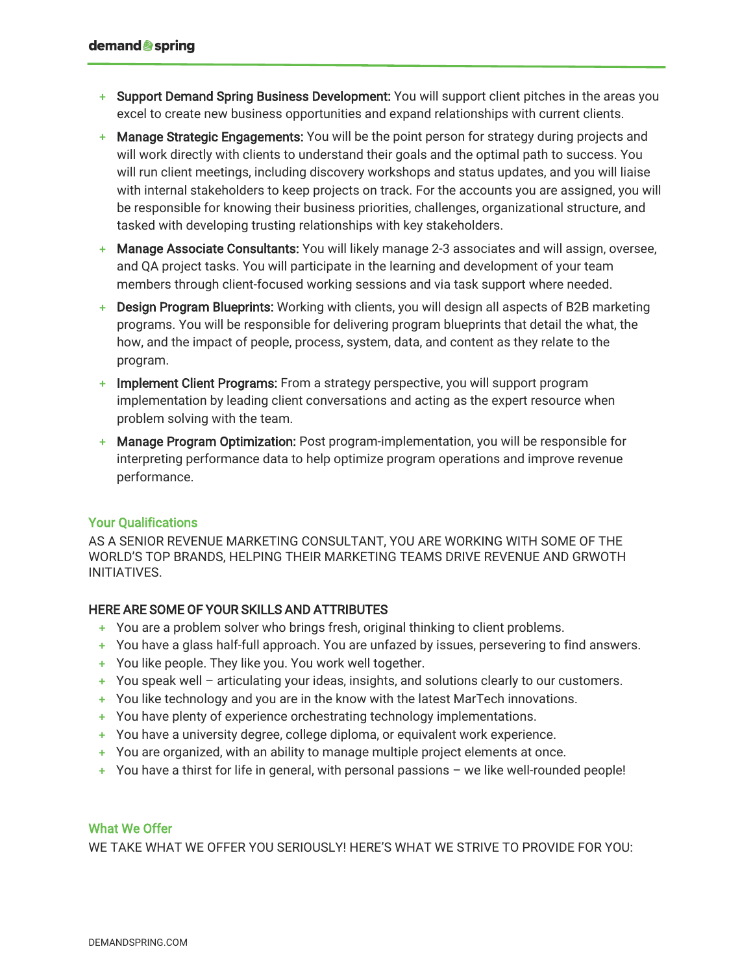- **+** Support Demand Spring Business Development: You will support client pitches in the areas you excel to create new business opportunities and expand relationships with current clients.
- **+** Manage Strategic Engagements: You will be the point person for strategy during projects and will work directly with clients to understand their goals and the optimal path to success. You will run client meetings, including discovery workshops and status updates, and you will liaise with internal stakeholders to keep projects on track. For the accounts you are assigned, you will be responsible for knowing their business priorities, challenges, organizational structure, and tasked with developing trusting relationships with key stakeholders.
- **Manage Associate Consultants:** You will likely manage 2-3 associates and will assign, oversee, and QA project tasks. You will participate in the learning and development of your team members through client-focused working sessions and via task support where needed.
- **Design Program Blueprints:** Working with clients, you will design all aspects of B2B marketing programs. You will be responsible for delivering program blueprints that detail the what, the how, and the impact of people, process, system, data, and content as they relate to the program.
- **+** Implement Client Programs: From a strategy perspective, you will support program implementation by leading client conversations and acting as the expert resource when problem solving with the team.
- **+** Manage Program Optimization: Post program-implementation, you will be responsible for interpreting performance data to help optimize program operations and improve revenue performance.

### Your Qualifications

AS A SENIOR REVENUE MARKETING CONSULTANT, YOU ARE WORKING WITH SOME OF THE WORLD'S TOP BRANDS, HELPING THEIR MARKETING TEAMS DRIVE REVENUE AND GRWOTH INITIATIVES.

## HERE ARE SOME OF YOUR SKILLS AND ATTRIBUTES

- **+** You are a problem solver who brings fresh, original thinking to client problems.
- **+** You have a glass half-full approach. You are unfazed by issues, persevering to find answers.
- **+** You like people. They like you. You work well together.
- **+** You speak well articulating your ideas, insights, and solutions clearly to our customers.
- **+** You like technology and you are in the know with the latest MarTech innovations.
- **+** You have plenty of experience orchestrating technology implementations.
- **+** You have a university degree, college diploma, or equivalent work experience.
- **+** You are organized, with an ability to manage multiple project elements at once.
- **+** You have a thirst for life in general, with personal passions we like well-rounded people!

### What We Offer

WE TAKE WHAT WE OFFER YOU SERIOUSLY! HERE'S WHAT WE STRIVE TO PROVIDE FOR YOU: